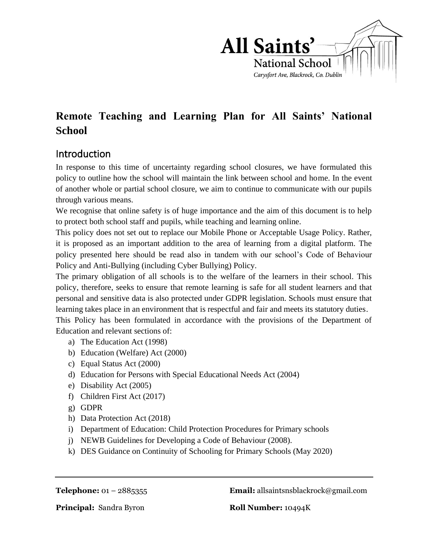

# **Remote Teaching and Learning Plan for All Saints' National School**

### Introduction

In response to this time of uncertainty regarding school closures, we have formulated this policy to outline how the school will maintain the link between school and home. In the event of another whole or partial school closure, we aim to continue to communicate with our pupils through various means.

We recognise that online safety is of huge importance and the aim of this document is to help to protect both school staff and pupils, while teaching and learning online.

This policy does not set out to replace our Mobile Phone or Acceptable Usage Policy. Rather, it is proposed as an important addition to the area of learning from a digital platform. The policy presented here should be read also in tandem with our school's Code of Behaviour Policy and Anti-Bullying (including Cyber Bullying) Policy.

The primary obligation of all schools is to the welfare of the learners in their school. This policy, therefore, seeks to ensure that remote learning is safe for all student learners and that personal and sensitive data is also protected under GDPR legislation. Schools must ensure that learning takes place in an environment that is respectful and fair and meets its statutory duties.

This Policy has been formulated in accordance with the provisions of the Department of Education and relevant sections of:

- a) The Education Act (1998)
- b) Education (Welfare) Act (2000)
- c) Equal Status Act (2000)
- d) Education for Persons with Special Educational Needs Act (2004)
- e) Disability Act (2005)
- f) Children First Act (2017)
- g) GDPR
- h) Data Protection Act (2018)
- i) Department of Education: Child Protection Procedures for Primary schools
- j) NEWB Guidelines for Developing a Code of Behaviour (2008).
- k) DES Guidance on Continuity of Schooling for Primary Schools (May 2020)

**Telephone:** 01 – 2885355 **Email:** allsaintsnsblackrock@gmail.com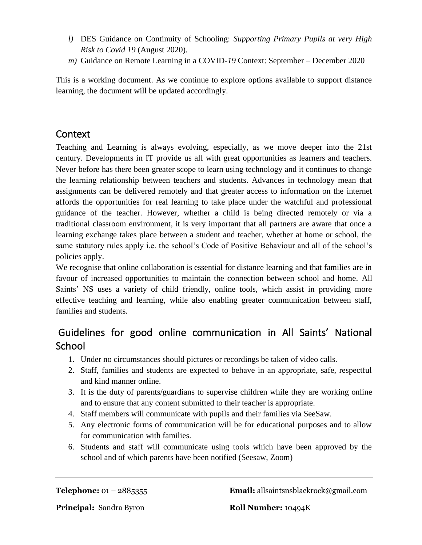- *l)* DES Guidance on Continuity of Schooling: *Supporting Primary Pupils at very High Risk to Covid 19* (August 2020)*.*
- *m)* Guidance on Remote Learning in a COVID-*19* Context: September December 2020

This is a working document. As we continue to explore options available to support distance learning, the document will be updated accordingly.

### **Context**

Teaching and Learning is always evolving, especially, as we move deeper into the 21st century. Developments in IT provide us all with great opportunities as learners and teachers. Never before has there been greater scope to learn using technology and it continues to change the learning relationship between teachers and students. Advances in technology mean that assignments can be delivered remotely and that greater access to information on the internet affords the opportunities for real learning to take place under the watchful and professional guidance of the teacher. However, whether a child is being directed remotely or via a traditional classroom environment, it is very important that all partners are aware that once a learning exchange takes place between a student and teacher, whether at home or school, the same statutory rules apply i.e. the school's Code of Positive Behaviour and all of the school's policies apply.

We recognise that online collaboration is essential for distance learning and that families are in favour of increased opportunities to maintain the connection between school and home. All Saints' NS uses a variety of child friendly, online tools, which assist in providing more effective teaching and learning, while also enabling greater communication between staff, families and students.

## Guidelines for good online communication in All Saints' National School

- 1. Under no circumstances should pictures or recordings be taken of video calls.
- 2. Staff, families and students are expected to behave in an appropriate, safe, respectful and kind manner online.
- 3. It is the duty of parents/guardians to supervise children while they are working online and to ensure that any content submitted to their teacher is appropriate.
- 4. Staff members will communicate with pupils and their families via SeeSaw.
- 5. Any electronic forms of communication will be for educational purposes and to allow for communication with families.
- 6. Students and staff will communicate using tools which have been approved by the school and of which parents have been notified (Seesaw, Zoom)

**Telephone:** 01 – 2885355 **Email:** allsaintsnsblackrock@gmail.com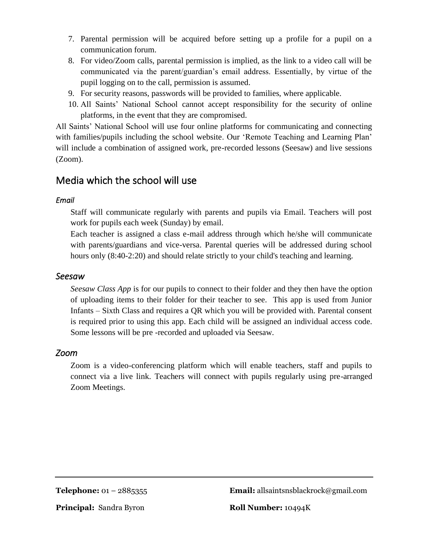- 7. Parental permission will be acquired before setting up a profile for a pupil on a communication forum.
- 8. For video/Zoom calls, parental permission is implied, as the link to a video call will be communicated via the parent/guardian's email address. Essentially, by virtue of the pupil logging on to the call, permission is assumed.
- 9. For security reasons, passwords will be provided to families, where applicable.
- 10. All Saints' National School cannot accept responsibility for the security of online platforms, in the event that they are compromised.

All Saints' National School will use four online platforms for communicating and connecting with families/pupils including the school website. Our 'Remote Teaching and Learning Plan' will include a combination of assigned work, pre-recorded lessons (Seesaw) and live sessions (Zoom).

### Media which the school will use

#### *Email*

Staff will communicate regularly with parents and pupils via Email. Teachers will post work for pupils each week (Sunday) by email.

Each teacher is assigned a class e-mail address through which he/she will communicate with parents/guardians and vice-versa. Parental queries will be addressed during school hours only  $(8:40-2:20)$  and should relate strictly to your child's teaching and learning.

#### *Seesaw*

*Seesaw Class App* is for our pupils to connect to their folder and they then have the option of uploading items to their folder for their teacher to see. This app is used from Junior Infants – Sixth Class and requires a QR which you will be provided with. Parental consent is required prior to using this app. Each child will be assigned an individual access code. Some lessons will be pre -recorded and uploaded via Seesaw.

#### *Zoom*

Zoom is a video-conferencing platform which will enable teachers, staff and pupils to connect via a live link. Teachers will connect with pupils regularly using pre-arranged Zoom Meetings.

**Telephone:** 01 – 2885355 **Email:** allsaintsnsblackrock@gmail.com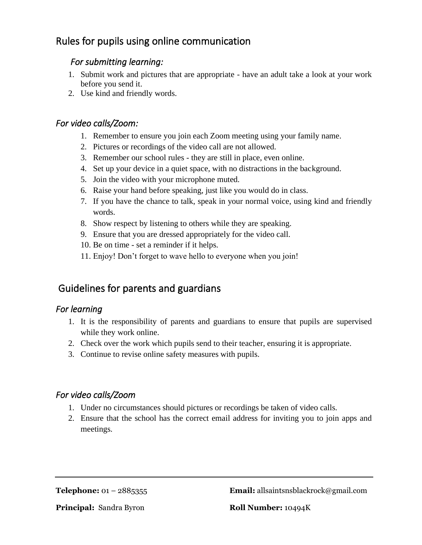### Rules for pupils using online communication

#### *For submitting learning:*

- 1. Submit work and pictures that are appropriate have an adult take a look at your work before you send it.
- 2. Use kind and friendly words.

#### *For video calls/Zoom:*

- 1. Remember to ensure you join each Zoom meeting using your family name.
- 2. Pictures or recordings of the video call are not allowed.
- 3. Remember our school rules they are still in place, even online.
- 4. Set up your device in a quiet space, with no distractions in the background.
- 5. Join the video with your microphone muted.
- 6. Raise your hand before speaking, just like you would do in class.
- 7. If you have the chance to talk, speak in your normal voice, using kind and friendly words.
- 8. Show respect by listening to others while they are speaking.
- 9. Ensure that you are dressed appropriately for the video call.
- 10. Be on time set a reminder if it helps.
- 11. Enjoy! Don't forget to wave hello to everyone when you join!

### Guidelines for parents and guardians

#### *For learning*

- 1. It is the responsibility of parents and guardians to ensure that pupils are supervised while they work online.
- 2. Check over the work which pupils send to their teacher, ensuring it is appropriate.
- 3. Continue to revise online safety measures with pupils.

#### *For video calls/Zoom*

- 1. Under no circumstances should pictures or recordings be taken of video calls.
- 2. Ensure that the school has the correct email address for inviting you to join apps and meetings.

**Telephone:** 01 – 2885355 **Email:** allsaintsnsblackrock@gmail.com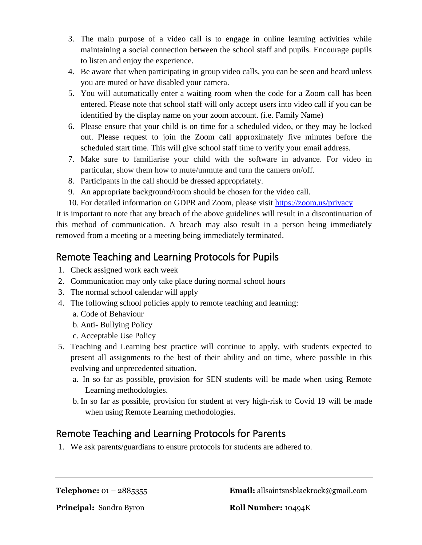- 3. The main purpose of a video call is to engage in online learning activities while maintaining a social connection between the school staff and pupils. Encourage pupils to listen and enjoy the experience.
- 4. Be aware that when participating in group video calls, you can be seen and heard unless you are muted or have disabled your camera.
- 5. You will automatically enter a waiting room when the code for a Zoom call has been entered. Please note that school staff will only accept users into video call if you can be identified by the display name on your zoom account. (i.e. Family Name)
- 6. Please ensure that your child is on time for a scheduled video, or they may be locked out. Please request to join the Zoom call approximately five minutes before the scheduled start time. This will give school staff time to verify your email address.
- 7. Make sure to familiarise your child with the software in advance. For video in particular, show them how to mute/unmute and turn the camera on/off.
- 8. Participants in the call should be dressed appropriately.
- 9. An appropriate background/room should be chosen for the video call.
- 10. For detailed information on GDPR and Zoom, please visit<https://zoom.us/privacy>

It is important to note that any breach of the above guidelines will result in a discontinuation of this method of communication. A breach may also result in a person being immediately removed from a meeting or a meeting being immediately terminated.

### Remote Teaching and Learning Protocols for Pupils

- 1. Check assigned work each week
- 2. Communication may only take place during normal school hours
- 3. The normal school calendar will apply
- 4. The following school policies apply to remote teaching and learning: a. Code of Behaviour
	- b. Anti- Bullying Policy
	- c. Acceptable Use Policy
- 5. Teaching and Learning best practice will continue to apply, with students expected to present all assignments to the best of their ability and on time, where possible in this evolving and unprecedented situation.
	- a. In so far as possible, provision for SEN students will be made when using Remote Learning methodologies.
	- b. In so far as possible, provision for student at very high-risk to Covid 19 will be made when using Remote Learning methodologies.

## Remote Teaching and Learning Protocols for Parents

1. We ask parents/guardians to ensure protocols for students are adhered to.

**Telephone:** 01 – 2885355 **Email:** allsaintsnsblackrock@gmail.com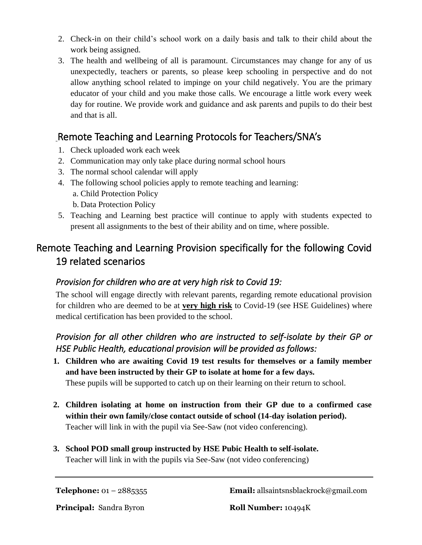- 2. Check-in on their child's school work on a daily basis and talk to their child about the work being assigned.
- 3. The health and wellbeing of all is paramount. Circumstances may change for any of us unexpectedly, teachers or parents, so please keep schooling in perspective and do not allow anything school related to impinge on your child negatively. You are the primary educator of your child and you make those calls. We encourage a little work every week day for routine. We provide work and guidance and ask parents and pupils to do their best and that is all.

### Remote Teaching and Learning Protocols for Teachers/SNA's

- 1. Check uploaded work each week
- 2. Communication may only take place during normal school hours
- 3. The normal school calendar will apply
- 4. The following school policies apply to remote teaching and learning:
	- a. Child Protection Policy
	- b. Data Protection Policy
- 5. Teaching and Learning best practice will continue to apply with students expected to present all assignments to the best of their ability and on time, where possible.

## Remote Teaching and Learning Provision specifically for the following Covid 19 related scenarios

#### *Provision for children who are at very high risk to Covid 19:*

The school will engage directly with relevant parents, regarding remote educational provision for children who are deemed to be at **very high risk** to Covid-19 (see HSE Guidelines) where medical certification has been provided to the school.

### *Provision for all other children who are instructed to self-isolate by their GP or HSE Public Health, educational provision will be provided as follows:*

- **1. Children who are awaiting Covid 19 test results for themselves or a family member and have been instructed by their GP to isolate at home for a few days.**  These pupils will be supported to catch up on their learning on their return to school.
- **2. Children isolating at home on instruction from their GP due to a confirmed case within their own family/close contact outside of school (14-day isolation period).**  Teacher will link in with the pupil via See-Saw (not video conferencing).
- **3. School POD small group instructed by HSE Pubic Health to self-isolate.**  Teacher will link in with the pupils via See-Saw (not video conferencing)

**Telephone:** 01 – 2885355 **Email:** allsaintsnsblackrock@gmail.com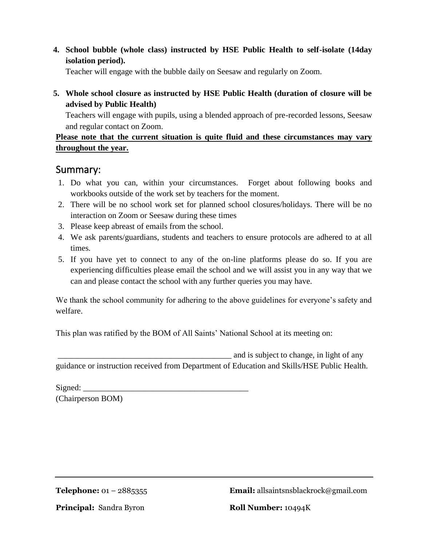**4. School bubble (whole class) instructed by HSE Public Health to self-isolate (14day isolation period).** 

Teacher will engage with the bubble daily on Seesaw and regularly on Zoom.

**5. Whole school closure as instructed by HSE Public Health (duration of closure will be advised by Public Health)**

Teachers will engage with pupils, using a blended approach of pre-recorded lessons, Seesaw and regular contact on Zoom.

#### **Please note that the current situation is quite fluid and these circumstances may vary throughout the year.**

#### Summary:

- 1. Do what you can, within your circumstances. Forget about following books and workbooks outside of the work set by teachers for the moment.
- 2. There will be no school work set for planned school closures/holidays. There will be no interaction on Zoom or Seesaw during these times
- 3. Please keep abreast of emails from the school.
- 4. We ask parents/guardians, students and teachers to ensure protocols are adhered to at all times.
- 5. If you have yet to connect to any of the on-line platforms please do so. If you are experiencing difficulties please email the school and we will assist you in any way that we can and please contact the school with any further queries you may have.

We thank the school community for adhering to the above guidelines for everyone's safety and welfare.

This plan was ratified by the BOM of All Saints' National School at its meeting on:

and is subject to change, in light of any guidance or instruction received from Department of Education and Skills/HSE Public Health.

 $Signed:$ 

(Chairperson BOM)

**Telephone:** 01 – 2885355 **Email:** allsaintsnsblackrock@gmail.com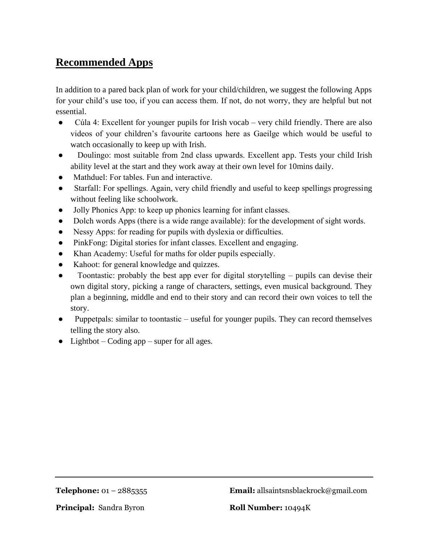## **Recommended Apps**

In addition to a pared back plan of work for your child/children, we suggest the following Apps for your child's use too, if you can access them. If not, do not worry, they are helpful but not essential.

- Cúla 4: Excellent for younger pupils for Irish vocab very child friendly. There are also videos of your children's favourite cartoons here as Gaeilge which would be useful to watch occasionally to keep up with Irish.
- Doulingo: most suitable from 2nd class upwards. Excellent app. Tests your child Irish ability level at the start and they work away at their own level for 10mins daily.
- Mathduel: For tables. Fun and interactive.
- Starfall: For spellings. Again, very child friendly and useful to keep spellings progressing without feeling like schoolwork.
- Jolly Phonics App: to keep up phonics learning for infant classes.
- Dolch words Apps (there is a wide range available): for the development of sight words.
- Nessy Apps: for reading for pupils with dyslexia or difficulties.
- PinkFong: Digital stories for infant classes. Excellent and engaging.
- Khan Academy: Useful for maths for older pupils especially.
- Kahoot: for general knowledge and quizzes.
- Toontastic: probably the best app ever for digital storytelling pupils can devise their own digital story, picking a range of characters, settings, even musical background. They plan a beginning, middle and end to their story and can record their own voices to tell the story.
- Puppetpals: similar to toontastic useful for younger pupils. They can record themselves telling the story also.
- Lightbot Coding app super for all ages.

**Telephone:** 01 – 2885355 **Email:** allsaintsnsblackrock@gmail.com